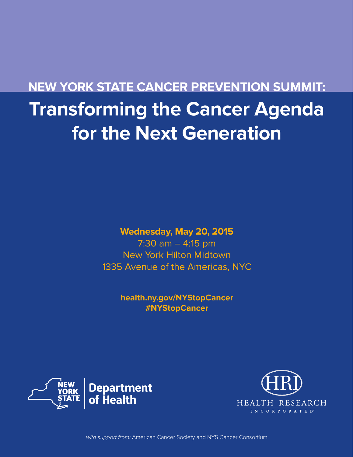# **NEW YORK STATE CANCER PREVENTION SUMMIT: Transforming the Cancer Agenda for the Next Generation**

# **Wednesday, May 20, 2015**

7:30 am – 4:15 pm New York Hilton Midtown 1335 Avenue of the Americas, NYC

> **health.ny.gov/NYStopCancer #NYStopCancer**





with support from: American Cancer Society and NYS Cancer Consortium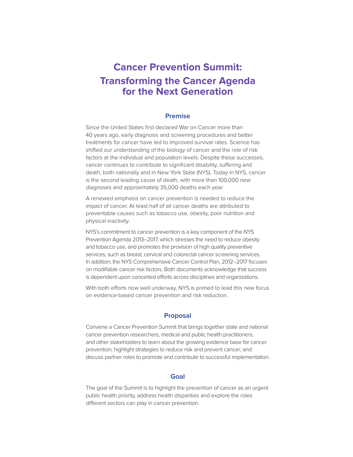# **Cancer Prevention Summit: Transforming the Cancer Agenda for the Next Generation**

#### **Premise**

Since the United States first declared War on Cancer more than 40 years ago, early diagnosis and screening procedures and better treatments for cancer have led to improved survival rates. Science has shifted our understanding of the biology of cancer and the role of risk factors at the individual and population levels. Despite these successes, cancer continues to contribute to significant disability, suffering and death, both nationally and in New York State (NYS). Today in NYS, cancer is the second leading cause of death, with more than 100,000 new diagnoses and approximately 35,000 deaths each year.

A renewed emphasis on cancer prevention is needed to reduce the impact of cancer. At least half of all cancer deaths are attributed to preventable causes such as tobacco use, obesity, poor nutrition and physical inactivity.

NYS's commitment to cancer prevention is a key component of the NYS Prevention Agenda 2013–2017, which stresses the need to reduce obesity and tobacco use, and promotes the provision of high quality preventive services, such as breast, cervical and colorectal cancer screening services. In addition, the NYS Comprehensive Cancer Control Plan, 2012–2017 focuses on modifiable cancer risk factors. Both documents acknowledge that success is dependent upon concerted efforts across disciplines and organizations.

With both efforts now well underway, NYS is primed to lead this new focus on evidence-based cancer prevention and risk reduction.

#### **Proposal**

Convene a Cancer Prevention Summit that brings together state and national cancer prevention researchers, medical and public health practitioners, and other stakeholders to learn about the growing evidence base for cancer prevention; highlight strategies to reduce risk and prevent cancer; and discuss partner roles to promote and contribute to successful implementation.

#### **Goal**

The goal of the Summit is to highlight the prevention of cancer as an urgent public health priority, address health disparities and explore the roles different sectors can play in cancer prevention.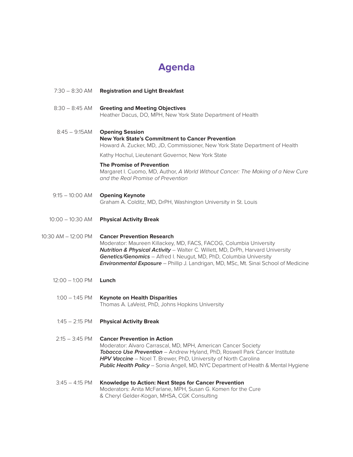# **Agenda**

| 7:30 – 8:30 AM            | <b>Registration and Light Breakfast</b>                                                                                                                                                                                                                                                                                                                  |
|---------------------------|----------------------------------------------------------------------------------------------------------------------------------------------------------------------------------------------------------------------------------------------------------------------------------------------------------------------------------------------------------|
| $8:30 - 8:45$ AM          | <b>Greeting and Meeting Objectives</b><br>Heather Dacus, DO, MPH, New York State Department of Health                                                                                                                                                                                                                                                    |
| $8:45 - 9:15AM$           | <b>Opening Session</b><br><b>New York State's Commitment to Cancer Prevention</b><br>Howard A. Zucker, MD, JD, Commissioner, New York State Department of Health                                                                                                                                                                                         |
|                           | Kathy Hochul, Lieutenant Governor, New York State                                                                                                                                                                                                                                                                                                        |
|                           | <b>The Promise of Prevention</b><br>Margaret I. Cuomo, MD, Author, A World Without Cancer: The Making of a New Cure<br>and the Real Promise of Prevention                                                                                                                                                                                                |
| $9:15 - 10:00$ AM         | <b>Opening Keynote</b><br>Graham A. Colditz, MD, DrPH, Washington University in St. Louis                                                                                                                                                                                                                                                                |
| $10:00 - 10:30$ AM        | <b>Physical Activity Break</b>                                                                                                                                                                                                                                                                                                                           |
| 10:30 AM - 12:00 PM       | <b>Cancer Prevention Research</b><br>Moderator: Maureen Killackey, MD, FACS, FACOG, Columbia University<br>Nutrition & Physical Activity - Walter C. Willett, MD, DrPh, Harvard University<br>Genetics/Genomics - Alfred I. Neugut, MD, PhD, Columbia University<br>Environmental Exposure - Phillip J. Landrigan, MD, MSc, Mt. Sinai School of Medicine |
| $12:00 - 1:00 \text{ PM}$ | Lunch                                                                                                                                                                                                                                                                                                                                                    |
| $1:00 - 1:45$ PM          | <b>Keynote on Health Disparities</b><br>Thomas A. LaVeist, PhD, Johns Hopkins University                                                                                                                                                                                                                                                                 |
| $1:45 - 2:15$ PM          | <b>Physical Activity Break</b>                                                                                                                                                                                                                                                                                                                           |
| $2:15 - 3:45$ PM          | <b>Cancer Prevention in Action</b><br>Moderator: Alvaro Carrascal, MD, MPH, American Cancer Society<br>Tobacco Use Prevention - Andrew Hyland, PhD, Roswell Park Cancer Institute<br><b>HPV Vaccine</b> - Noel T. Brewer, PhD, University of North Carolina<br><b>Public Health Policy</b> - Sonia Angell, MD, NYC Department of Health & Mental Hygiene |
| $3:45 - 4:15$ PM          | Knowledge to Action: Next Steps for Cancer Prevention<br>Moderators: Anita McFarlane, MPH, Susan G. Komen for the Cure<br>& Cheryl Gelder-Kogan, MHSA, CGK Consulting                                                                                                                                                                                    |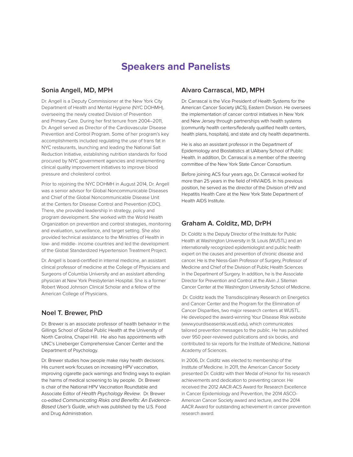### **Speakers and Panelists**

#### **Sonia Angell, MD, MPH**

Dr. Angell is a Deputy Commissioner at the New York City Department of Health and Mental Hygiene (NYC DOHMH), overseeing the newly created Division of Prevention and Primary Care. During her first tenure from 2004–2011, Dr. Angell served as Director of the Cardiovascular Disease Prevention and Control Program. Some of her program's key accomplishments included regulating the use of trans fat in NYC restaurants, launching and leading the National Salt Reduction Initiative, establishing nutrition standards for food procured by NYC government agencies and implementing clinical quality improvement initiatives to improve blood pressure and cholesterol control.

Prior to rejoining the NYC DOHMH in August 2014, Dr. Angell was a senior advisor for Global Noncommunicable Diseases and Chief of the Global Noncommunicable Disease Unit at the Centers for Disease Control and Prevention (CDC). There, she provided leadership in strategy, policy and program development. She worked with the World Health Organization on prevention and control strategies, monitoring and evaluation, surveillance, and target setting. She also provided technical assistance to the Ministries of Health in low- and middle- income countries and led the development of the Global Standardized Hypertension Treatment Project.

Dr. Angell is board-certified in internal medicine, an assistant clinical professor of medicine at the College of Physicians and Surgeons of Columbia University and an assistant attending physician at New York Presbyterian Hospital. She is a former Robert Wood Johnson Clinical Scholar and a fellow of the American College of Physicians.

#### **Noel T. Brewer, PhD**

Dr. Brewer is an associate professor of health behavior in the Gillings School of Global Public Health at the University of North Carolina, Chapel Hill. He also has appointments with UNC's Lineberger Comprehensive Cancer Center and the Department of Psychology.

Dr. Brewer studies how people make risky health decisions. His current work focuses on increasing HPV vaccination, improving cigarette pack warnings and finding ways to explain the harms of medical screening to lay people. Dr. Brewer is chair of the National HPV Vaccination Roundtable and Associate Editor of *Health Psychology Review*. Dr. Brewer co-edited *Communicating Risks and Benefits: An Evidence-Based User's Guide*, which was published by the U.S. Food and Drug Administration.

#### **Alvaro Carrascal, MD, MPH**

Dr. Carrascal is the Vice President of Health Systems for the American Cancer Society (ACS), Eastern Division. He oversees the implementation of cancer control initiatives in New York and New Jersey through partnerships with health systems (community health centers/federally qualified health centers, health plans, hospitals), and state and city health departments.

He is also an assistant professor in the Department of Epidemiology and Biostatistics at UAlbany School of Public Health. In addition, Dr. Carrascal is a member of the steering committee of the New York State Cancer Consortium.

Before joining ACS four years ago, Dr. Carrascal worked for more than 25 years in the field of HIV/AIDS. In his previous position, he served as the director of the Division of HIV and Hepatitis Health Care at the New York State Department of Health AIDS Institute.

#### **Graham A. Colditz, MD, DrPH**

Dr. Colditz is the Deputy Director of the Institute for Public Health at Washington University in St. Louis (WUSTL) and an internationally recognized epidemiologist and public health expert on the causes and prevention of chronic disease and cancer. He is the Niess-Gain Professor of Surgery, Professor of Medicine and Chief of the Division of Public Health Sciences in the Department of Surgery. In addition, he is the Associate Director for Prevention and Control at the Alvin J. Siteman Cancer Center at the Washington University School of Medicine.

 Dr. Colditz leads the Transdisciplinary Research on Energetics and Cancer Center and the Program for the Elimination of Cancer Disparities, two major research centers at WUSTL. He developed the award-winning Your Disease Risk website (www.yourdiseaserisk.wustl.edu), which communicates tailored prevention messages to the public. He has published over 950 peer-reviewed publications and six books, and contributed to six reports for the Institute of Medicine, National Academy of Sciences.

In 2006, Dr. Colditz was elected to membership of the Institute of Medicine. In 2011, the American Cancer Society presented Dr. Colditz with their Medal of Honor for his research achievements and dedication to preventing cancer. He received the 2012 AACR-ACS Award for Research Excellence in Cancer Epidemiology and Prevention, the 2014 ASCO-American Cancer Society award and lecture, and the 2014 AACR Award for outstanding achievement in cancer prevention research award.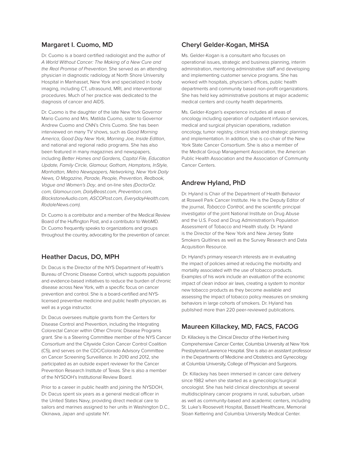#### **Margaret I. Cuomo, MD**

Dr. Cuomo is a board certified radiologist and the author of *A World Without Cancer: The Making of a New Cure and the Real Promise of Prevention*. She served as an attending physician in diagnostic radiology at North Shore University Hospital in Manhasset, New York and specialized in body imaging, including CT, ultrasound, MRI, and interventional procedures. Much of her practice was dedicated to the diagnosis of cancer and AIDS.

Dr. Cuomo is the daughter of the late New York Governor Mario Cuomo and Mrs. Matilda Cuomo, sister to Governor Andrew Cuomo and CNN's Chris Cuomo. She has been interviewed on many TV shows, such as *Good Morning America, Good Day New York, Morning Joe, Inside Edition*, and national and regional radio programs. She has also been featured in many magazines and newspapers, including *Better Homes and Gardens, Capitol File, Education Update, Family Circle, Glamour, Gotham, Hamptons, InStyle, Manhattan, Metro Newspapers, Networking, New York Daily News, O Magazine, Parade, People, Prevention, Redbook, Vogue and Women's Day*, and on-line sites *(DoctorOz. com, Glamour.com, DailyBeast.com, Prevention.com, BlackstoneAudio.com, ASCOPost.com, EverydayHealth.com, RodaleNews.com).* 

Dr. Cuomo is a contributor and a member of the Medical Review Board of the Huffington Post, and a contributor to WebMD. Dr. Cuomo frequently speaks to organizations and groups throughout the country, advocating for the prevention of cancer.

#### **Heather Dacus, DO, MPH**

Dr. Dacus is the Director of the NYS Department of Health's Bureau of Chronic Disease Control, which supports population and evidence-based initiatives to reduce the burden of chronic disease across New York, with a specific focus on cancer prevention and control. She is a board-certified and NYSlicensed preventive medicine and public health physician, as well as a yoga instructor.

Dr. Dacus oversees multiple grants from the Centers for Disease Control and Prevention, including the Integrating Colorectal Cancer within Other Chronic Disease Programs grant. She is a Steering Committee member of the NYS Cancer Consortium and the Citywide Colon Cancer Control Coalition (C5), and serves on the CDC/Colorado Advisory Committee on Cancer Screening Surveillance. In 2010 and 2012, she participated as an outside expert reviewer for the Cancer Prevention Research Institute of Texas. She is also a member of the NYSDOH's Institutional Review Board.

Prior to a career in public health and joining the NYSDOH, Dr. Dacus spent six years as a general medical officer in the United States Navy, providing direct medical care to sailors and marines assigned to her units in Washington D.C., Okinawa, Japan and upstate NY.

#### **Cheryl Gelder-Kogan, MHSA**

Ms. Gelder-Kogan is a consultant who focuses on operational issues, strategic and business planning, interim administration, mentoring administrative staff and developing and implementing customer service programs. She has worked with hospitals, physician's offices, public health departments and community based non-profit organizations. She has held key administrative positions at major academic medical centers and county health departments.

Ms. Gelder-Kogan's experience includes all areas of oncology including operation of outpatient infusion services, medical and surgical physician operations, radiation oncology, tumor registry, clinical trials and strategic planning and implementation. In addition, she is co-chair of the New York State Cancer Consortium. She is also a member of the Medical Group Management Association, the American Public Health Association and the Association of Community Cancer Centers.

#### **Andrew Hyland, PhD**

Dr. Hyland is Chair of the Department of Health Behavior at Roswell Park Cancer Institute. He is the Deputy Editor of the journal, *Tobacco Control*, and the scientific principal investigator of the joint National Institute on Drug Abuse and the U.S. Food and Drug Administration's Population Assessment of Tobacco and Health study. Dr. Hyland is the Director of the New York and New Jersey State Smokers Quitlines as well as the Survey Research and Data Acquisition Resource.

Dr. Hyland's primary research interests are in evaluating the impact of policies aimed at reducing the morbidity and mortality associated with the use of tobacco products. Examples of his work include an evaluation of the economic impact of clean indoor air laws, creating a system to monitor new tobacco products as they become available and assessing the impact of tobacco policy measures on smoking behaviors in large cohorts of smokers. Dr. Hyland has published more than 220 peer-reviewed publications.

#### **Maureen Killackey, MD, FACS, FACOG**

Dr. Killackey is the Clinical Director of the Herbert Irving Comprehensive Cancer Center, Columbia University at New York Presbyterian/Lawrence Hospital. She is also an assistant professor in the Departments of Medicine and Obstetrics and Gynecology at Columbia University, College of Physician and Surgeons.

 Dr. Killackey has been immersed in cancer care delivery since 1982 when she started as a gynecologic/surgical oncologist. She has held clinical directorships at several multidisciplinary cancer programs in rural, suburban, urban as well as community-based and academic centers, including St. Luke's Roosevelt Hospital, Bassett Healthcare, Memorial Sloan Kettering and Columbia University Medical Center.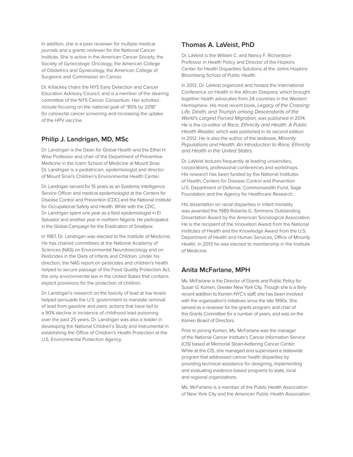In addition, she is a peer reviewer for multiple medical journals and a grants reviewer for the National Cancer Institute. She is active in the American Cancer Society, the Society of Gynecologic Oncology, the American College of Obstetrics and Gynecology, the American College of Surgeons and Commission on Cancer.

Dr. Killackey chairs the NYS Early Detection and Cancer Education Advisory Council, and is a member of the steering committee of the NYS Cancer Consortium. Her activities include focusing on the national goal of "80% by 2018" for colorectal cancer screening and increasing the uptake of the HPV vaccine.

#### **Philip J. Landrigan, MD, MSc**

Dr. Landrigan is the Dean for Global Health and the Ethel H. Wise Professor and chair of the Department of Preventive Medicine in the Icahn School of Medicine at Mount Sinai. Dr. Landrigan is a pediatrician, epidemiologist and director of Mount Sinai's Children's Environmental Health Center.

Dr. Landrigan served for 15 years as an Epidemic Intelligence Service Officer and medical epidemiologist at the Centers for Disease Control and Prevention (CDC) and the National Institute for Occupational Safety and Health. While with the CDC, Dr. Landrigan spent one year as a field epidemiologist in El Salvador and another year in northern Nigeria. He participated in the Global Campaign for the Eradication of Smallpox.

In 1987, Dr. Landrigan was elected to the Institute of Medicine. He has chaired committees at the National Academy of Sciences (NAS) on Environmental Neurotoxicology and on Pesticides in the Diets of Infants and Children. Under his direction, the NAS report on pesticides and children's health helped to secure passage of the Food Quality Protection Act, the only environmental law in the United States that contains explicit provisions for the protection of children.

Dr. Landrigan's research on the toxicity of lead at low levels helped persuade the U.S. government to mandate removal of lead from gasoline and paint, actions that have led to a 90% decline in incidence of childhood lead poisoning over the past 25 years. Dr. Landrigan was also a leader in developing the National Children's Study and instrumental in establishing the Office of Children's Health Protection at the U.S. Environmental Protection Agency.

#### **Thomas A. LaVeist, PhD**

Dr. LaVeist is the William C. and Nancy F. Richardson Professor in Health Policy and Director of the Hopkins Center for Health Disparities Solutions at the Johns Hopkins Bloomberg School of Public Health.

In 2012, Dr. LaVeist organized and hosted the International Conference on Health in the African Diaspora, which brought together health advocates from 24 countries in the Western Hemisphere. His most recent book, *Legacy of the Crossing: Life, Death, and Triumph among Descendants of the World's Largest Forced Migration,* was published in 2014. He is the co-editor of *Race, Ethnicity and Health: A Public Health Reader,* which was published in its second edition in 2012. He is also the author of the textbook, *Minority Populations and Health: An Introduction to Race, Ethnicity and Health in the United States.*

Dr. LaVeist lectures frequently at leading universities, corporations, professional conferences and workshops. His research has been funded by the National Institutes of Health, Centers for Disease Control and Prevention U.S. Department of Defense, Commonwealth Fund, Sage Foundation and the Agency for Healthcare Research.

His dissertation on racial disparities in infant mortality was awarded the 1989 Roberta G. Simmons Outstanding Dissertation Award by the American Sociological Association. He is the recipient of the Innovation Award from the National Institutes of Health and the Knowledge Award from the U.S. Department of Health and Human Services, Office of Minority Health. In 2013 he was elected to membership in the Institute of Medicine.

#### **Anita McFarlane, MPH**

Ms. McFarlane is the Director of Grants and Public Policy for Susan G. Komen, Greater New York City. Though she is a fairly recent addition to Komen NYC's staff, she has been involved with the organization's initiatives since the late 1990s. She served as a reviewer for the grants program, and chair of the Grants Committee for a number of years, and was on the Komen Board of Directors.

Prior to joining Komen, Ms. McFarlane was the manager of the National Cancer Institute's Cancer Information Service (CIS) based at Memorial Sloan-Kettering Cancer Center. While at the CIS, she managed and supervised a statewide program that addressed cancer health disparities by providing technical assistance for designing, implementing and evaluating evidence-based programs to state, local and regional organizations.

Ms. McFarlane is a member of the Public Health Association of New York City and the American Public Health Association.